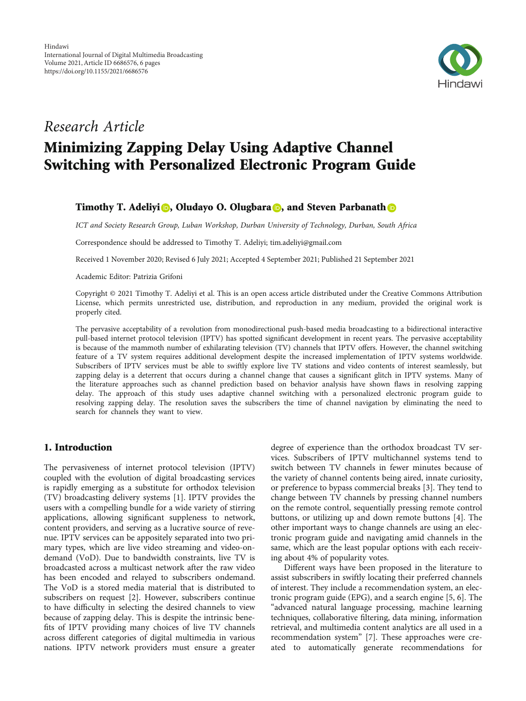

# Research Article Minimizing Zapping Delay Using Adaptive Channel Switching with Personalized Electronic Program Guide

# Timothy T. Adeliyi **D**[,](https://orcid.org/0000-0003-1633-7583) Oludayo O. Olugbara **D**, and Steven Parbanath **D**

ICT and Society Research Group, Luban Workshop, Durban University of Technology, Durban, South Africa

Correspondence should be addressed to Timothy T. Adeliyi; tim.adeliyi@gmail.com

Received 1 November 2020; Revised 6 July 2021; Accepted 4 September 2021; Published 21 September 2021

Academic Editor: Patrizia Grifoni

Copyright © 2021 Timothy T. Adeliyi et al. This is an open access article distributed under the [Creative Commons Attribution](https://creativecommons.org/licenses/by/4.0/) [License,](https://creativecommons.org/licenses/by/4.0/) which permits unrestricted use, distribution, and reproduction in any medium, provided the original work is properly cited.

The pervasive acceptability of a revolution from monodirectional push-based media broadcasting to a bidirectional interactive pull-based internet protocol television (IPTV) has spotted significant development in recent years. The pervasive acceptability is because of the mammoth number of exhilarating television (TV) channels that IPTV offers. However, the channel switching feature of a TV system requires additional development despite the increased implementation of IPTV systems worldwide. Subscribers of IPTV services must be able to swiftly explore live TV stations and video contents of interest seamlessly, but zapping delay is a deterrent that occurs during a channel change that causes a significant glitch in IPTV systems. Many of the literature approaches such as channel prediction based on behavior analysis have shown flaws in resolving zapping delay. The approach of this study uses adaptive channel switching with a personalized electronic program guide to resolving zapping delay. The resolution saves the subscribers the time of channel navigation by eliminating the need to search for channels they want to view.

## 1. Introduction

The pervasiveness of internet protocol television (IPTV) coupled with the evolution of digital broadcasting services is rapidly emerging as a substitute for orthodox television (TV) broadcasting delivery systems [\[1\]](#page-4-0). IPTV provides the users with a compelling bundle for a wide variety of stirring applications, allowing significant suppleness to network, content providers, and serving as a lucrative source of revenue. IPTV services can be appositely separated into two primary types, which are live video streaming and video-ondemand (VoD). Due to bandwidth constraints, live TV is broadcasted across a multicast network after the raw video has been encoded and relayed to subscribers ondemand. The VoD is a stored media material that is distributed to subscribers on request [\[2\]](#page-4-0). However, subscribers continue to have difficulty in selecting the desired channels to view because of zapping delay. This is despite the intrinsic benefits of IPTV providing many choices of live TV channels across different categories of digital multimedia in various nations. IPTV network providers must ensure a greater

degree of experience than the orthodox broadcast TV services. Subscribers of IPTV multichannel systems tend to switch between TV channels in fewer minutes because of the variety of channel contents being aired, innate curiosity, or preference to bypass commercial breaks [[3](#page-4-0)]. They tend to change between TV channels by pressing channel numbers on the remote control, sequentially pressing remote control buttons, or utilizing up and down remote buttons [\[4](#page-4-0)]. The other important ways to change channels are using an electronic program guide and navigating amid channels in the same, which are the least popular options with each receiving about 4% of popularity votes.

Different ways have been proposed in the literature to assist subscribers in swiftly locating their preferred channels of interest. They include a recommendation system, an electronic program guide (EPG), and a search engine [[5, 6](#page-4-0)]. The "advanced natural language processing, machine learning techniques, collaborative filtering, data mining, information retrieval, and multimedia content analytics are all used in a recommendation system" [\[7](#page-4-0)]. These approaches were created to automatically generate recommendations for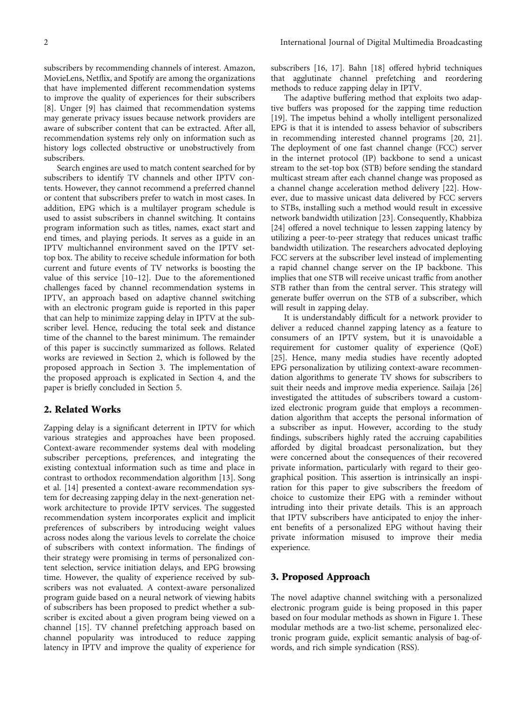subscribers by recommending channels of interest. Amazon, MovieLens, Netflix, and Spotify are among the organizations that have implemented different recommendation systems to improve the quality of experiences for their subscribers [\[8](#page-4-0)]. Unger [\[9\]](#page-4-0) has claimed that recommendation systems may generate privacy issues because network providers are aware of subscriber content that can be extracted. After all, recommendation systems rely only on information such as history logs collected obstructive or unobstructively from subscribers.

Search engines are used to match content searched for by subscribers to identify TV channels and other IPTV contents. However, they cannot recommend a preferred channel or content that subscribers prefer to watch in most cases. In addition, EPG which is a multilayer program schedule is used to assist subscribers in channel switching. It contains program information such as titles, names, exact start and end times, and playing periods. It serves as a guide in an IPTV multichannel environment saved on the IPTV settop box. The ability to receive schedule information for both current and future events of TV networks is boosting the value of this service [\[10](#page-4-0)–[12\]](#page-4-0). Due to the aforementioned challenges faced by channel recommendation systems in IPTV, an approach based on adaptive channel switching with an electronic program guide is reported in this paper that can help to minimize zapping delay in IPTV at the subscriber level. Hence, reducing the total seek and distance time of the channel to the barest minimum. The remainder of this paper is succinctly summarized as follows. Related works are reviewed in Section 2, which is followed by the proposed approach in Section 3. The implementation of the proposed approach is explicated in Section [4](#page-3-0), and the paper is briefly concluded in Section [5](#page-4-0).

## 2. Related Works

Zapping delay is a significant deterrent in IPTV for which various strategies and approaches have been proposed. Context-aware recommender systems deal with modeling subscriber perceptions, preferences, and integrating the existing contextual information such as time and place in contrast to orthodox recommendation algorithm [\[13\]](#page-4-0). Song et al. [[14](#page-4-0)] presented a context-aware recommendation system for decreasing zapping delay in the next-generation network architecture to provide IPTV services. The suggested recommendation system incorporates explicit and implicit preferences of subscribers by introducing weight values across nodes along the various levels to correlate the choice of subscribers with context information. The findings of their strategy were promising in terms of personalized content selection, service initiation delays, and EPG browsing time. However, the quality of experience received by subscribers was not evaluated. A context-aware personalized program guide based on a neural network of viewing habits of subscribers has been proposed to predict whether a subscriber is excited about a given program being viewed on a channel [\[15\]](#page-4-0). TV channel prefetching approach based on channel popularity was introduced to reduce zapping latency in IPTV and improve the quality of experience for subscribers [\[16](#page-4-0), [17](#page-4-0)]. Bahn [\[18\]](#page-4-0) offered hybrid techniques that agglutinate channel prefetching and reordering methods to reduce zapping delay in IPTV.

The adaptive buffering method that exploits two adaptive buffers was proposed for the zapping time reduction [\[19\]](#page-4-0). The impetus behind a wholly intelligent personalized EPG is that it is intended to assess behavior of subscribers in recommending interested channel programs [\[20](#page-4-0), [21](#page-4-0)]. The deployment of one fast channel change (FCC) server in the internet protocol (IP) backbone to send a unicast stream to the set-top box (STB) before sending the standard multicast stream after each channel change was proposed as a channel change acceleration method delivery [\[22\]](#page-4-0). However, due to massive unicast data delivered by FCC servers to STBs, installing such a method would result in excessive network bandwidth utilization [[23](#page-4-0)]. Consequently, Khabbiza [\[24](#page-5-0)] offered a novel technique to lessen zapping latency by utilizing a peer-to-peer strategy that reduces unicast traffic bandwidth utilization. The researchers advocated deploying FCC servers at the subscriber level instead of implementing a rapid channel change server on the IP backbone. This implies that one STB will receive unicast traffic from another STB rather than from the central server. This strategy will generate buffer overrun on the STB of a subscriber, which will result in zapping delay.

It is understandably difficult for a network provider to deliver a reduced channel zapping latency as a feature to consumers of an IPTV system, but it is unavoidable a requirement for customer quality of experience (QoE) [\[25\]](#page-5-0). Hence, many media studies have recently adopted EPG personalization by utilizing context-aware recommendation algorithms to generate TV shows for subscribers to suit their needs and improve media experience. Sailaja [\[26\]](#page-5-0) investigated the attitudes of subscribers toward a customized electronic program guide that employs a recommendation algorithm that accepts the personal information of a subscriber as input. However, according to the study findings, subscribers highly rated the accruing capabilities afforded by digital broadcast personalization, but they were concerned about the consequences of their recovered private information, particularly with regard to their geographical position. This assertion is intrinsically an inspiration for this paper to give subscribers the freedom of choice to customize their EPG with a reminder without intruding into their private details. This is an approach that IPTV subscribers have anticipated to enjoy the inherent benefits of a personalized EPG without having their private information misused to improve their media experience.

#### 3. Proposed Approach

The novel adaptive channel switching with a personalized electronic program guide is being proposed in this paper based on four modular methods as shown in Figure [1.](#page-2-0) These modular methods are a two-list scheme, personalized electronic program guide, explicit semantic analysis of bag-ofwords, and rich simple syndication (RSS).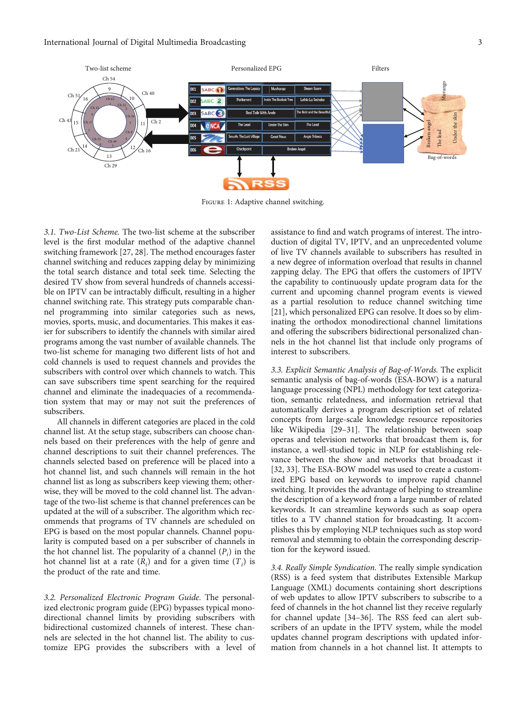<span id="page-2-0"></span>

Figure 1: Adaptive channel switching.

3.1. Two-List Scheme. The two-list scheme at the subscriber level is the first modular method of the adaptive channel switching framework [[27](#page-5-0), [28](#page-5-0)]. The method encourages faster channel switching and reduces zapping delay by minimizing the total search distance and total seek time. Selecting the desired TV show from several hundreds of channels accessible on IPTV can be intractably difficult, resulting in a higher channel switching rate. This strategy puts comparable channel programming into similar categories such as news, movies, sports, music, and documentaries. This makes it easier for subscribers to identify the channels with similar aired programs among the vast number of available channels. The two-list scheme for managing two different lists of hot and cold channels is used to request channels and provides the subscribers with control over which channels to watch. This can save subscribers time spent searching for the required channel and eliminate the inadequacies of a recommendation system that may or may not suit the preferences of subscribers.

All channels in different categories are placed in the cold channel list. At the setup stage, subscribers can choose channels based on their preferences with the help of genre and channel descriptions to suit their channel preferences. The channels selected based on preference will be placed into a hot channel list, and such channels will remain in the hot channel list as long as subscribers keep viewing them; otherwise, they will be moved to the cold channel list. The advantage of the two-list scheme is that channel preferences can be updated at the will of a subscriber. The algorithm which recommends that programs of TV channels are scheduled on EPG is based on the most popular channels. Channel popularity is computed based on a per subscriber of channels in the hot channel list. The popularity of a channel  $(P_i)$  in the hot channel list at a rate  $(R<sub>i</sub>)$  and for a given time  $(T<sub>i</sub>)$  is the product of the rate and time.

3.2. Personalized Electronic Program Guide. The personalized electronic program guide (EPG) bypasses typical monodirectional channel limits by providing subscribers with bidirectional customized channels of interest. These channels are selected in the hot channel list. The ability to customize EPG provides the subscribers with a level of assistance to find and watch programs of interest. The introduction of digital TV, IPTV, and an unprecedented volume of live TV channels available to subscribers has resulted in a new degree of information overload that results in channel zapping delay. The EPG that offers the customers of IPTV the capability to continuously update program data for the current and upcoming channel program events is viewed as a partial resolution to reduce channel switching time [\[21\]](#page-4-0), which personalized EPG can resolve. It does so by eliminating the orthodox monodirectional channel limitations and offering the subscribers bidirectional personalized channels in the hot channel list that include only programs of interest to subscribers.

3.3. Explicit Semantic Analysis of Bag-of-Words. The explicit semantic analysis of bag-of-words (ESA-BOW) is a natural language processing (NPL) methodology for text categorization, semantic relatedness, and information retrieval that automatically derives a program description set of related concepts from large-scale knowledge resource repositories like Wikipedia [[29](#page-5-0)–[31\]](#page-5-0). The relationship between soap operas and television networks that broadcast them is, for instance, a well-studied topic in NLP for establishing relevance between the show and networks that broadcast it [\[32, 33](#page-5-0)]. The ESA-BOW model was used to create a customized EPG based on keywords to improve rapid channel switching. It provides the advantage of helping to streamline the description of a keyword from a large number of related keywords. It can streamline keywords such as soap opera titles to a TV channel station for broadcasting. It accomplishes this by employing NLP techniques such as stop word removal and stemming to obtain the corresponding description for the keyword issued.

3.4. Really Simple Syndication. The really simple syndication (RSS) is a feed system that distributes Extensible Markup Language (XML) documents containing short descriptions of web updates to allow IPTV subscribers to subscribe to a feed of channels in the hot channel list they receive regularly for channel update [\[34](#page-5-0)–[36](#page-5-0)]. The RSS feed can alert subscribers of an update in the IPTV system, while the model updates channel program descriptions with updated information from channels in a hot channel list. It attempts to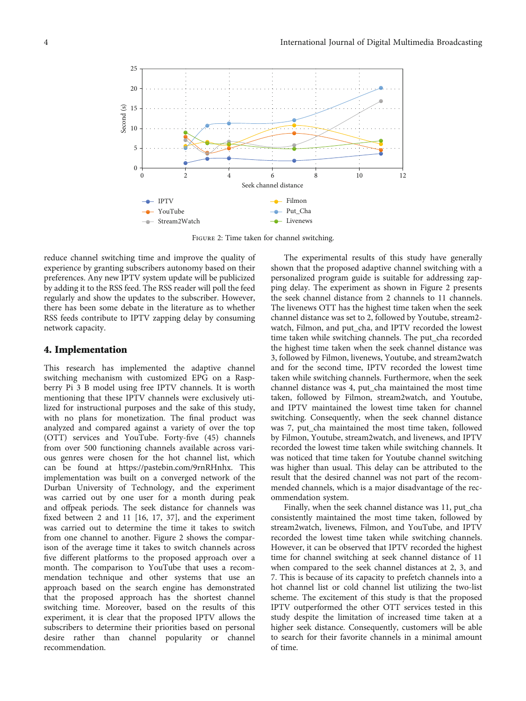<span id="page-3-0"></span>

Figure 2: Time taken for channel switching.

reduce channel switching time and improve the quality of experience by granting subscribers autonomy based on their preferences. Any new IPTV system update will be publicized by adding it to the RSS feed. The RSS reader will poll the feed regularly and show the updates to the subscriber. However, there has been some debate in the literature as to whether RSS feeds contribute to IPTV zapping delay by consuming network capacity.

#### 4. Implementation

This research has implemented the adaptive channel switching mechanism with customized EPG on a Raspberry Pi 3 B model using free IPTV channels. It is worth mentioning that these IPTV channels were exclusively utilized for instructional purposes and the sake of this study, with no plans for monetization. The final product was analyzed and compared against a variety of over the top (OTT) services and YouTube. Forty-five (45) channels from over 500 functioning channels available across various genres were chosen for the hot channel list, which can be found at<https://pastebin.com/9rnRHnhx>. This implementation was built on a converged network of the Durban University of Technology, and the experiment was carried out by one user for a month during peak and offpeak periods. The seek distance for channels was fixed between 2 and 11 [\[16, 17,](#page-4-0) [37](#page-5-0)], and the experiment was carried out to determine the time it takes to switch from one channel to another. Figure 2 shows the comparison of the average time it takes to switch channels across five different platforms to the proposed approach over a month. The comparison to YouTube that uses a recommendation technique and other systems that use an approach based on the search engine has demonstrated that the proposed approach has the shortest channel switching time. Moreover, based on the results of this experiment, it is clear that the proposed IPTV allows the subscribers to determine their priorities based on personal desire rather than channel popularity or channel recommendation.

The experimental results of this study have generally shown that the proposed adaptive channel switching with a personalized program guide is suitable for addressing zapping delay. The experiment as shown in Figure 2 presents the seek channel distance from 2 channels to 11 channels. The livenews OTT has the highest time taken when the seek channel distance was set to 2, followed by Youtube, stream2 watch, Filmon, and put\_cha, and IPTV recorded the lowest time taken while switching channels. The put\_cha recorded the highest time taken when the seek channel distance was 3, followed by Filmon, livenews, Youtube, and stream2watch and for the second time, IPTV recorded the lowest time taken while switching channels. Furthermore, when the seek channel distance was 4, put\_cha maintained the most time taken, followed by Filmon, stream2watch, and Youtube, and IPTV maintained the lowest time taken for channel switching. Consequently, when the seek channel distance was 7, put\_cha maintained the most time taken, followed by Filmon, Youtube, stream2watch, and livenews, and IPTV recorded the lowest time taken while switching channels. It was noticed that time taken for Youtube channel switching was higher than usual. This delay can be attributed to the result that the desired channel was not part of the recommended channels, which is a major disadvantage of the recommendation system.

Finally, when the seek channel distance was 11, put\_cha consistently maintained the most time taken, followed by stream2watch, livenews, Filmon, and YouTube, and IPTV recorded the lowest time taken while switching channels. However, it can be observed that IPTV recorded the highest time for channel switching at seek channel distance of 11 when compared to the seek channel distances at 2, 3, and 7. This is because of its capacity to prefetch channels into a hot channel list or cold channel list utilizing the two-list scheme. The excitement of this study is that the proposed IPTV outperformed the other OTT services tested in this study despite the limitation of increased time taken at a higher seek distance. Consequently, customers will be able to search for their favorite channels in a minimal amount of time.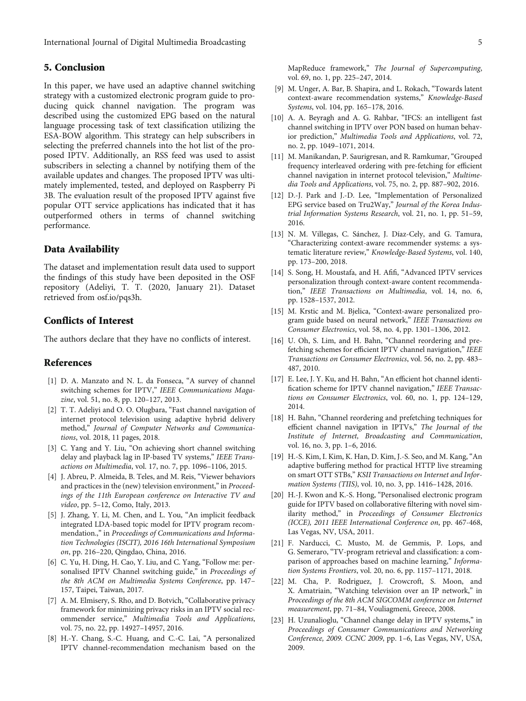<span id="page-4-0"></span>International Journal of Digital Multimedia Broadcasting 5

## 5. Conclusion

In this paper, we have used an adaptive channel switching strategy with a customized electronic program guide to producing quick channel navigation. The program was described using the customized EPG based on the natural language processing task of text classification utilizing the ESA-BOW algorithm. This strategy can help subscribers in selecting the preferred channels into the hot list of the proposed IPTV. Additionally, an RSS feed was used to assist subscribers in selecting a channel by notifying them of the available updates and changes. The proposed IPTV was ultimately implemented, tested, and deployed on Raspberry Pi 3B. The evaluation result of the proposed IPTV against five popular OTT service applications has indicated that it has outperformed others in terms of channel switching performance.

### Data Availability

The dataset and implementation result data used to support the findings of this study have been deposited in the OSF repository (Adeliyi, T. T. (2020, January 21). Dataset retrieved from osf.io/pqs3h.

## Conflicts of Interest

The authors declare that they have no conflicts of interest.

#### References

- [1] D. A. Manzato and N. L. da Fonseca, "A survey of channel switching schemes for IPTV," IEEE Communications Magazine, vol. 51, no. 8, pp. 120–127, 2013.
- [2] T. T. Adeliyi and O. O. Olugbara, "Fast channel navigation of internet protocol television using adaptive hybrid delivery method," Journal of Computer Networks and Communications, vol. 2018, 11 pages, 2018.
- [3] C. Yang and Y. Liu, "On achieving short channel switching delay and playback lag in IP-based TV systems," IEEE Transactions on Multimedia, vol. 17, no. 7, pp. 1096–1106, 2015.
- [4] J. Abreu, P. Almeida, B. Teles, and M. Reis, "Viewer behaviors" and practices in the (new) television environment," in Proceedings of the 11th European conference on Interactive TV and video, pp. 5–12, Como, Italy, 2013.
- [5] J. Zhang, Y. Li, M. Chen, and L. You, "An implicit feedback integrated LDA-based topic model for IPTV program recommendation.," in Proceedings of Communications and Information Technologies (ISCIT), 2016 16th International Symposium on, pp. 216–220, Qingdao, China, 2016.
- [6] C. Yu, H. Ding, H. Cao, Y. Liu, and C. Yang, "Follow me: personalised IPTV Channel switching guide," in Proceedings of the 8th ACM on Multimedia Systems Conference, pp. 147– 157, Taipei, Taiwan, 2017.
- [7] A. M. Elmisery, S. Rho, and D. Botvich, "Collaborative privacy" framework for minimizing privacy risks in an IPTV social recommender service," Multimedia Tools and Applications, vol. 75, no. 22, pp. 14927–14957, 2016.
- [8] H.-Y. Chang, S.-C. Huang, and C.-C. Lai, "A personalized IPTV channel-recommendation mechanism based on the
- [9] M. Unger, A. Bar, B. Shapira, and L. Rokach, "Towards latent context-aware recommendation systems," Knowledge-Based Systems, vol. 104, pp. 165–178, 2016.
- [10] A. A. Beyragh and A. G. Rahbar, "IFCS: an intelligent fast channel switching in IPTV over PON based on human behavior prediction," Multimedia Tools and Applications, vol. 72, no. 2, pp. 1049–1071, 2014.
- [11] M. Manikandan, P. Saurigresan, and R. Ramkumar, "Grouped frequency interleaved ordering with pre-fetching for efficient channel navigation in internet protocol television," Multimedia Tools and Applications, vol. 75, no. 2, pp. 887–902, 2016.
- [12] D.-J. Park and J.-D. Lee, "Implementation of Personalized EPG service based on Tru2Way," Journal of the Korea Industrial Information Systems Research, vol. 21, no. 1, pp. 51–59, 2016.
- [13] N. M. Villegas, C. Sánchez, J. Díaz-Cely, and G. Tamura, "Characterizing context-aware recommender systems: a systematic literature review," Knowledge-Based Systems, vol. 140, pp. 173–200, 2018.
- [14] S. Song, H. Moustafa, and H. Afifi, "Advanced IPTV services personalization through context-aware content recommendation," IEEE Transactions on Multimedia, vol. 14, no. 6, pp. 1528–1537, 2012.
- [15] M. Krstic and M. Bjelica, "Context-aware personalized program guide based on neural network," IEEE Transactions on Consumer Electronics, vol. 58, no. 4, pp. 1301–1306, 2012.
- [16] U. Oh, S. Lim, and H. Bahn, "Channel reordering and prefetching schemes for efficient IPTV channel navigation," IEEE Transactions on Consumer Electronics, vol. 56, no. 2, pp. 483– 487, 2010.
- [17] E. Lee, J. Y. Ku, and H. Bahn, "An efficient hot channel identification scheme for IPTV channel navigation," IEEE Transactions on Consumer Electronics, vol. 60, no. 1, pp. 124–129, 2014.
- [18] H. Bahn, "Channel reordering and prefetching techniques for efficient channel navigation in IPTVs," The Journal of the Institute of Internet, Broadcasting and Communication, vol. 16, no. 3, pp. 1–6, 2016.
- [19] H.-S. Kim, I. Kim, K. Han, D. Kim, J.-S. Seo, and M. Kang, "An adaptive buffering method for practical HTTP live streaming on smart OTT STBs," KSII Transactions on Internet and Information Systems (TIIS), vol. 10, no. 3, pp. 1416–1428, 2016.
- [20] H.-J. Kwon and K.-S. Hong, "Personalised electronic program guide for IPTV based on collaborative filtering with novel similarity method," in Proceedings of Consumer Electronics (ICCE), 2011 IEEE International Conference on, pp. 467-468, Las Vegas, NV, USA, 2011.
- [21] F. Narducci, C. Musto, M. de Gemmis, P. Lops, and G. Semeraro, "TV-program retrieval and classification: a comparison of approaches based on machine learning," Information Systems Frontiers, vol. 20, no. 6, pp. 1157–1171, 2018.
- [22] M. Cha, P. Rodriguez, J. Crowcroft, S. Moon, and X. Amatriain, "Watching television over an IP network," in Proceedings of the 8th ACM SIGCOMM conference on Internet measurement, pp. 71–84, Vouliagmeni, Greece, 2008.
- [23] H. Uzunalioglu, "Channel change delay in IPTV systems," in Proceedings of Consumer Communications and Networking Conference, 2009. CCNC 2009, pp. 1–6, Las Vegas, NV, USA, 2009.